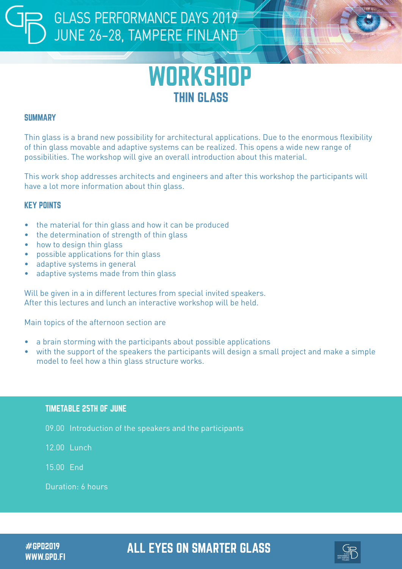## **GLASS PERFORMANCE DAYS 2019** JUNE 26-28, TAMPERE FINLAND



#### **SUMMARY**

Thin glass is a brand new possibility for architectural applications. Due to the enormous flexibility of thin glass movable and adaptive systems can be realized. This opens a wide new range of possibilities. The workshop will give an overall introduction about this material.

This work shop addresses architects and engineers and after this workshop the participants will have a lot more information about thin glass.

#### KEY POINTS

- the material for thin glass and how it can be produced
- the determination of strength of thin glass
- how to design thin glass
- possible applications for thin glass
- adaptive systems in general
- adaptive systems made from thin glass

Will be given in a in different lectures from special invited speakers. After this lectures and lunch an interactive workshop will be held.

Main topics of the afternoon section are

- a brain storming with the participants about possible applications
- with the support of the speakers the participants will design a small project and make a simple model to feel how a thin glass structure works.

#### TIMETABLE 25TH OF JUNE

09.00 Introduction of the speakers and the participants

12.00 Lunch

15.00 End

Duration: 6 hours

WWW.GPD.FI

### #GPD2019 ALL EYES ON SMARTER GLASS

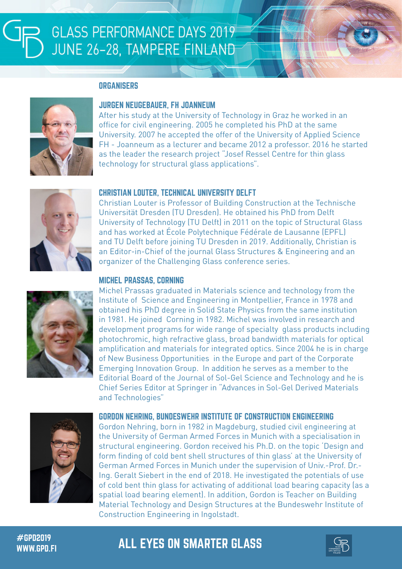#### **ORGANISERS**



#### JURGEN NEUGEBAUER, FH JOANNEUM

After his study at the University of Technology in Graz he worked in an office for civil engineering. 2005 he completed his PhD at the same University. 2007 he accepted the offer of the University of Applied Science FH - Joanneum as a lecturer and became 2012 a professor. 2016 he started as the leader the research project "Josef Ressel Centre for thin glass technology for structural glass applications".



#### CHRISTIAN LOUTER, TECHNICAL UNIVERSITY DELFT

Christian Louter is Professor of Building Construction at the Technische Universität Dresden (TU Dresden). He obtained his PhD from Delft University of Technology (TU Delft) in 2011 on the topic of Structural Glass and has worked at École Polytechnique Fédérale de Lausanne (EPFL) and TU Delft before joining TU Dresden in 2019. Additionally, Christian is an Editor-in-Chief of the journal Glass Structures & Engineering and an organizer of the Challenging Glass conference series.



#### MICHEL PRASSAS, CORNING

Michel Prassas graduated in Materials science and technology from the Institute of Science and Engineering in Montpellier, France in 1978 and obtained his PhD degree in Solid State Physics from the same institution in 1981. He joined Corning in 1982. Michel was involved in research and development programs for wide range of specialty glass products including photochromic, high refractive glass, broad bandwidth materials for optical amplification and materials for integrated optics. Since 2004 he is in charge of New Business Opportunities in the Europe and part of the Corporate Emerging Innovation Group. In addition he serves as a member to the Editorial Board of the Journal of Sol-Gel Science and Technology and he is Chief Series Editor at Springer in "Advances in Sol-Gel Derived Materials and Technologies"



#### GORDON NEHRING, BUNDESWEHR INSTITUTE OF CONSTRUCTION ENGINEERING

Gordon Nehring, born in 1982 in Magdeburg, studied civil engineering at the University of German Armed Forces in Munich with a specialisation in structural engineering. Gordon received his Ph.D. on the topic 'Design and form finding of cold bent shell structures of thin glass' at the University of German Armed Forces in Munich under the supervision of Univ.-Prof. Dr.- Ing. Geralt Siebert in the end of 2018. He investigated the potentials of use of cold bent thin glass for activating of additional load bearing capacity (as a spatial load bearing element). In addition, Gordon is Teacher on Building Material Technology and Design Structures at the Bundeswehr Institute of Construction Engineering in Ingolstadt.

## #GPD2019 ALL EYES ON SMARTER GLASS WWW.GPD.FI